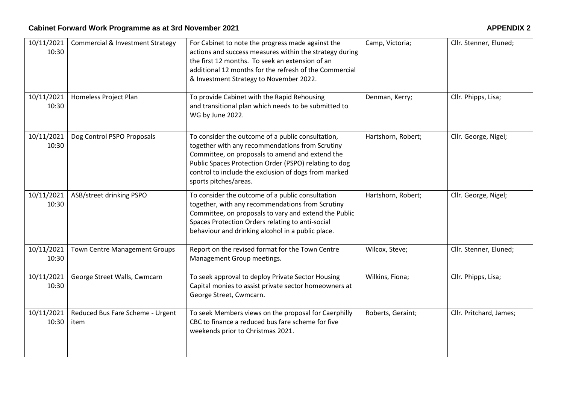| 10/11/2021<br>10:30 | <b>Commercial &amp; Investment Strategy</b> | For Cabinet to note the progress made against the<br>actions and success measures within the strategy during<br>the first 12 months. To seek an extension of an<br>additional 12 months for the refresh of the Commercial<br>& Investment Strategy to November 2022.                              | Camp, Victoria;    | Cllr. Stenner, Eluned;  |
|---------------------|---------------------------------------------|---------------------------------------------------------------------------------------------------------------------------------------------------------------------------------------------------------------------------------------------------------------------------------------------------|--------------------|-------------------------|
| 10/11/2021<br>10:30 | Homeless Project Plan                       | To provide Cabinet with the Rapid Rehousing<br>and transitional plan which needs to be submitted to<br>WG by June 2022.                                                                                                                                                                           | Denman, Kerry;     | Cllr. Phipps, Lisa;     |
| 10/11/2021<br>10:30 | Dog Control PSPO Proposals                  | To consider the outcome of a public consultation,<br>together with any recommendations from Scrutiny<br>Committee, on proposals to amend and extend the<br>Public Spaces Protection Order (PSPO) relating to dog<br>control to include the exclusion of dogs from marked<br>sports pitches/areas. | Hartshorn, Robert; | Cllr. George, Nigel;    |
| 10/11/2021<br>10:30 | ASB/street drinking PSPO                    | To consider the outcome of a public consultation<br>together, with any recommendations from Scrutiny<br>Committee, on proposals to vary and extend the Public<br>Spaces Protection Orders relating to anti-social<br>behaviour and drinking alcohol in a public place.                            | Hartshorn, Robert; | Cllr. George, Nigel;    |
| 10/11/2021<br>10:30 | <b>Town Centre Management Groups</b>        | Report on the revised format for the Town Centre<br>Management Group meetings.                                                                                                                                                                                                                    | Wilcox, Steve;     | Cllr. Stenner, Eluned;  |
| 10/11/2021<br>10:30 | George Street Walls, Cwmcarn                | To seek approval to deploy Private Sector Housing<br>Capital monies to assist private sector homeowners at<br>George Street, Cwmcarn.                                                                                                                                                             | Wilkins, Fiona;    | Cllr. Phipps, Lisa;     |
| 10/11/2021<br>10:30 | Reduced Bus Fare Scheme - Urgent<br>item    | To seek Members views on the proposal for Caerphilly<br>CBC to finance a reduced bus fare scheme for five<br>weekends prior to Christmas 2021.                                                                                                                                                    | Roberts, Geraint;  | Cllr. Pritchard, James; |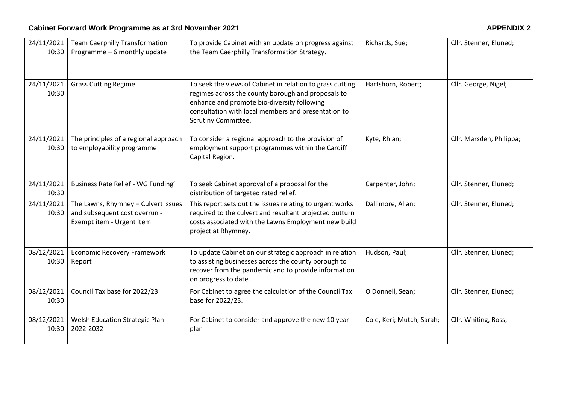| 24/11/2021<br>10:30 | <b>Team Caerphilly Transformation</b><br>Programme - 6 monthly update                             | To provide Cabinet with an update on progress against<br>the Team Caerphilly Transformation Strategy.                                                                                                                                               | Richards, Sue;            | Cllr. Stenner, Eluned;   |
|---------------------|---------------------------------------------------------------------------------------------------|-----------------------------------------------------------------------------------------------------------------------------------------------------------------------------------------------------------------------------------------------------|---------------------------|--------------------------|
| 24/11/2021<br>10:30 | <b>Grass Cutting Regime</b>                                                                       | To seek the views of Cabinet in relation to grass cutting<br>regimes across the county borough and proposals to<br>enhance and promote bio-diversity following<br>consultation with local members and presentation to<br><b>Scrutiny Committee.</b> | Hartshorn, Robert;        | Cllr. George, Nigel;     |
| 24/11/2021<br>10:30 | The principles of a regional approach<br>to employability programme                               | To consider a regional approach to the provision of<br>employment support programmes within the Cardiff<br>Capital Region.                                                                                                                          | Kyte, Rhian;              | Cllr. Marsden, Philippa; |
| 24/11/2021<br>10:30 | Business Rate Relief - WG Funding'                                                                | To seek Cabinet approval of a proposal for the<br>distribution of targeted rated relief.                                                                                                                                                            | Carpenter, John;          | Cllr. Stenner, Eluned;   |
| 24/11/2021<br>10:30 | The Lawns, Rhymney - Culvert issues<br>and subsequent cost overrun -<br>Exempt item - Urgent item | This report sets out the issues relating to urgent works<br>required to the culvert and resultant projected outturn<br>costs associated with the Lawns Employment new build<br>project at Rhymney.                                                  | Dallimore, Allan;         | Cllr. Stenner, Eluned;   |
| 08/12/2021<br>10:30 | <b>Economic Recovery Framework</b><br>Report                                                      | To update Cabinet on our strategic approach in relation<br>to assisting businesses across the county borough to<br>recover from the pandemic and to provide information<br>on progress to date.                                                     | Hudson, Paul;             | Cllr. Stenner, Eluned;   |
| 08/12/2021<br>10:30 | Council Tax base for 2022/23                                                                      | For Cabinet to agree the calculation of the Council Tax<br>base for 2022/23.                                                                                                                                                                        | O'Donnell, Sean;          | Cllr. Stenner, Eluned;   |
| 08/12/2021<br>10:30 | Welsh Education Strategic Plan<br>2022-2032                                                       | For Cabinet to consider and approve the new 10 year<br>plan                                                                                                                                                                                         | Cole, Keri; Mutch, Sarah; | Cllr. Whiting, Ross;     |